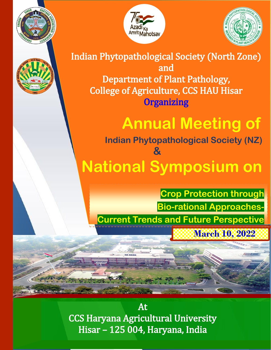





Indian Phytopathological Society (North Zone) and Department of Plant Pathology, College of Agriculture, CCS HAU Hisar **Organizing** 

# **Annual Meeting of**

 **Indian Phytopathological Society (NZ) & National Symposium on** 

**March 10, 2022 Crop Protection through Bio-rational Approaches-Current Trends and Future Perspective** 

At CCS Haryana Agricultural University Hisar – 125 004, Haryana, India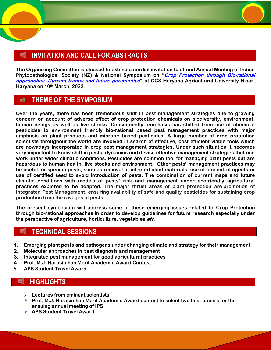## **INVITATION AND CALL FOR ABSTRACTS** 89

**The Organizing Committee is pleased to extend a cordial invitation to attend Annual Meeting of Indian Phytopathological Society (NZ) & National Symposium on "Crop Protection through Bio-rational approaches- Current trends and future perspective" at CCS Haryana Agricultural University Hisar, Haryana on 10th March, 2022**.

#### **THEME OF THE SYMPOSIUM** 嚩

**Over the years, there has been tremendous shift in pest management strategies due to growing concern on account of adverse effect of crop protection chemicals on biodiversity, environment, human beings as well as live stocks. Consequently, emphasis has shifted from use of chemical pesticides to environment friendly bio-rational based pest management practices with major emphasis on plant products and microbe based pesticides. A large number of crop protection scientists throughout the world are involved in search of effective, cost efficient viable tools which are nowadays incorporated in crop pest management strategies. Under such situation it becomes very important to know shift in pests' dynamics and devise effective management strategies that can work under wider climatic conditions. Pesticides are common tool for managing plant pests but are hazardous to human health, live stocks and environment. Other pests' management practices may be useful for specific pests, such as removal of infected plant materials, use of biocontrol agents or use of certified seed to avoid introduction of pests. The combination of current maps and future climatic conditions with models of pests' risk and management under ecofriendly agricultural practices explored to be adapted. The major thrust areas of plant protection are promotion of Integrated Pest Management, ensuring availability of safe and quality pesticides for sustaining crop production from the ravages of pests.**

**The present symposium will address some of these emerging issues related to Crop Protection through bio-rational approaches in order to develop guidelines for future research especially under the perspective of agriculture, horticulture, vegetables etc.**

## **TECHNICAL SESSIONS** evi

- **1. Emerging plant pests and pathogens under changing climate and strategy for their management**
- **2. Molecular approaches in pest diagnosis and management**
- **3. Integrated pest management for good agricultural practices**
- **4. Prof. M.J. Narasimhan Merit Academic Award Contest**
- 5. **APS Student Travel Award**

## W **HIGHLIGHTS**

- **Lectures from eminent scientists**
- **Prof. M.J. Narasimhan Merit Academic Award contest to select two best papers for the ensuing annual meeting of IPS**
- **APS Student Travel Award**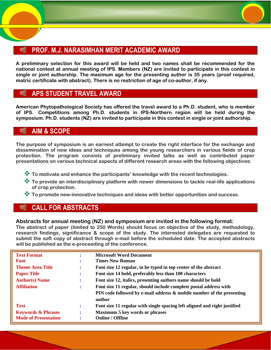# **PROF. M.J. NARASIMHAN MERIT ACADEMIC AWARD**

**A preliminary selection for this award will be held and two names shall be recommended for the national contest at annual meeting of IPS. Members (NZ) are invited to participate in this contest in single or joint authorship. The maximum age for the presenting author is 35 years (proof required, matric certificate with abstract). There is no restriction of age of co-author, if any.**

## **APS STUDENT TRAVEL AWARD** P.

**American Phytopathological Society has offered the travel award to a Ph.D. student, who is member of IPS. Competitions among Ph.D. students in IPS-Northern region will be held during the symposium. Ph.D. students (NZ) are invited to participate in this contest in single or joint authorship.** 

## **AIM & SCOPE**

**The purpose of symposium is an earnest attempt to create the right interface for the exchange and dissemination of new ideas and techniques among the young researchers in various fields of crop protection. The program consists of preliminary invited talks as well as contributed paper presentations on various technical aspects of different research areas with the following objectives:**

- **To motivate and enhance the participants' knowledge with the recent technologies.**
- **To provide an interdisciplinary platform with newer dimensions to tackle real-life applications of crop protection.**
- **To promote new-innovative techniques and ideas with better opportunities and success.**

## **CALL FOR ABSTRACTS** 嚬

## **Abstracts for annual meeting (NZ) and symposium are invited in the following format:**

**The abstract of paper (limited to 250 Words) should focus on objective of the study, methodology, research findings, significance & scope of the study. The interested delegates are requested to submit the soft copy of abstract through e-mail before the scheduled date. The accepted abstracts will be published as the e-proceeding of the conference.**

| <b>Text Format</b>            | $\bullet$<br>$\bullet$ | <b>Microsoft Word Document</b>                                                  |
|-------------------------------|------------------------|---------------------------------------------------------------------------------|
| <b>Font</b>                   | $\bullet$<br>$\bullet$ | <b>Times New Roman</b>                                                          |
| <b>Theme Area Title</b>       | ÷                      | Font size 12 regular, to be typed in top center of the abstract                 |
| <b>Paper Title</b>            | ÷                      | Font size 14 bold, preferably less than 100 characters                          |
| <b>Author(s)</b> Name         | ÷                      | Font size 12, italics, presenting authors name should be bold                   |
| <b>Affiliation</b>            | ÷                      | Font size 11 regular, should include complete postal address with               |
|                               |                        | PIN code followed by e-mail address & mobile number of the presenting<br>author |
| <b>Text</b>                   | ÷                      | Font size 11 regular with single spacing left aligned and right justified       |
| <b>Keywords &amp; Phrases</b> | ÷                      | <b>Maximum 5 key words or phrases</b>                                           |
| <b>Mode of Presentation</b>   | $\bullet$              | <b>Online / Offline</b>                                                         |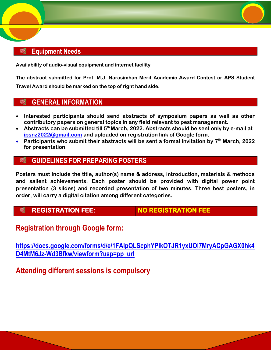## **Equipment Needs** S.

**Availability of audio-visual equipment and internet facility**

**The abstract submitted for Prof. M.J. Narasimhan Merit Academic Award Contest or APS Student Travel Award should be marked on the top of right hand side.** 

#### 颐 **GENERAL INFORMATION**

- **Interested participants should send abstracts of symposium papers as well as other contributory papers on general topics in any field relevant to pest management.**
- **Abstracts can be submitted till 5th March, 2022. Abstracts should be sent only by e-mail at [ipsnz2022@gmail.com](mailto:ipsnz2022@gmail.com) and uploaded on registration link of Google form.**
- **Participants who submit their abstracts will be sent a formal invitation by 7th March, 2022 for presentation**.

#### 畹 **GUIDELINES FOR PREPARING POSTERS**

**Posters must include the title, author(s) name & address, introduction, materials & methods and salient achievements. Each poster should be provided with digital power point presentation (3 slides) and recorded presentation of two minutes. Three best posters, in order, will carry a digital citation among different categories.**

## 嚩

**REGISTRATION FEE: NO REGISTRATION FEE** 

## **Registration through Google form:**

**[https://docs.google.com/forms/d/e/1FAIpQLScphYPIkOTJR1yxUOl7MryACpGAGX0hk4](https://docs.google.com/forms/d/e/1FAIpQLScphYPIkOTJR1yxUOl7MryACpGAGX0hk4D4MtM6Jz-Wd3Bfkw/viewform?usp=pp_url) [D4MtM6Jz-Wd3Bfkw/viewform?usp=pp\\_url](https://docs.google.com/forms/d/e/1FAIpQLScphYPIkOTJR1yxUOl7MryACpGAGX0hk4D4MtM6Jz-Wd3Bfkw/viewform?usp=pp_url)** 

**Attending different sessions is compulsory**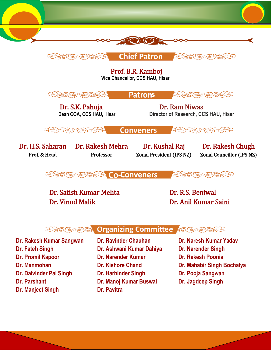



Prof. B.R. Kamboj **Vice Chancellor, CCS HAU, Hisar**



Dr. S.K. Pahuja Dr. Ram Niwas  **Dean COA, CCS HAU, Hisar Director of Research, CCS HAU, Hisar**

**Conveners** 

Dr. H.S. Saharan Prof. & Head

Dr. Rakesh Mehra Professor

Dr. Kushal Raj Zonal President (IPS NZ)

Dr. Rakesh Chugh Zonal Councillor (IPS NZ)



Dr. Satish Kumar Mehta Dr. R.S. Beniwal Dr. Vinod Malik Dr. Anil Kumar Saini



**Dr. Fateh Singh Dr. Ashwani Kumar Dahiya Dr. Narender Singh Dr. Promil Kapoor Dr. Narender Kumar Dr. Rakesh Poonia Dr. Manmohan Dr. Kishore Chand Dr. Mahabir Singh Bochalya Dr. Dalvinder Pal Singh Dr. Harbinder Singh Dr. Pooja Sangwan Dr. Parshant Dr. Manoj Kumar Buswal Dr. Jagdeep Singh Dr. Manjeet Singh Dr. Pavitra** 

**Dr. Rakesh Kumar Sangwan Dr. Ravinder Chauhan Dr. Naresh Kumar Yadav**

- 
- 
- 
- 
-